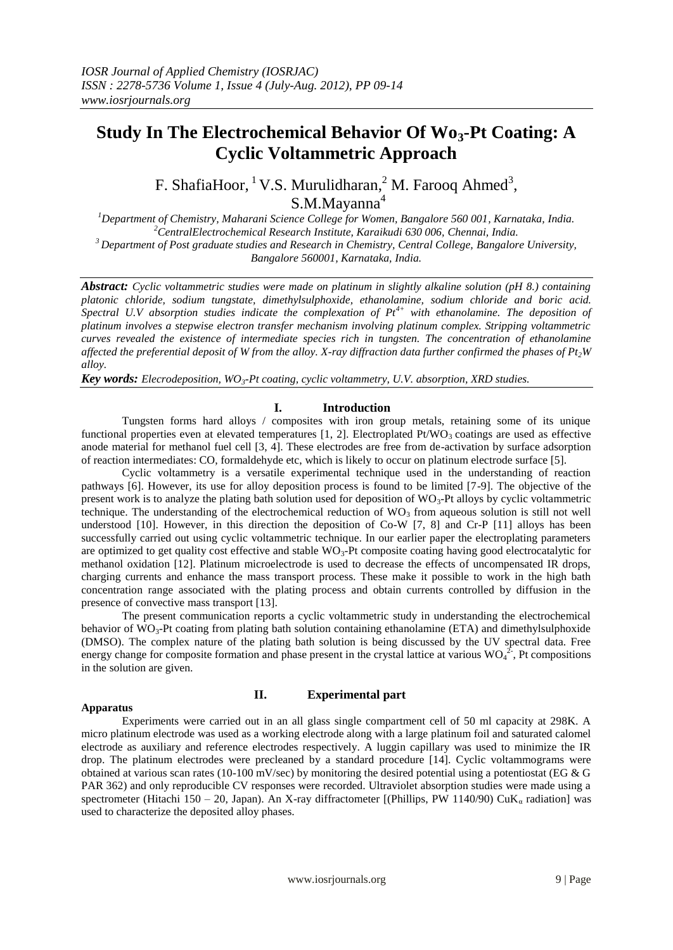# **Study In The Electrochemical Behavior Of Wo3-Pt Coating: A Cyclic Voltammetric Approach**

F. ShafiaHoor,  ${}^{1}$  V.S. Murulidharan,  ${}^{2}$  M. Farooq Ahmed<sup>3</sup>, S.M.Mayanna<sup>4</sup>

*Department of Chemistry, Maharani Science College for Women, Bangalore 560 001, Karnataka, India. CentralElectrochemical Research Institute, Karaikudi 630 006, Chennai, India. Department of Post graduate studies and Research in Chemistry, Central College, Bangalore University, Bangalore 560001, Karnataka, India.*

*Abstract: Cyclic voltammetric studies were made on platinum in slightly alkaline solution (pH 8.) containing platonic chloride, sodium tungstate, dimethylsulphoxide, ethanolamine, sodium chloride and boric acid. Spectral U.V absorption studies indicate the complexation of Pt4+ with ethanolamine. The deposition of platinum involves a stepwise electron transfer mechanism involving platinum complex. Stripping voltammetric curves revealed the existence of intermediate species rich in tungsten. The concentration of ethanolamine affected the preferential deposit of W from the alloy. X-ray diffraction data further confirmed the phases of*  $Pt_2W$ *alloy.*

*Key words: Elecrodeposition, WO3-Pt coating, cyclic voltammetry, U.V. absorption, XRD studies.*

### **I. Introduction**

Tungsten forms hard alloys / composites with iron group metals, retaining some of its unique functional properties even at elevated temperatures  $[1, 2]$ . Electroplated Pt/WO<sub>3</sub> coatings are used as effective anode material for methanol fuel cell [3, 4]. These electrodes are free from de-activation by surface adsorption of reaction intermediates: CO, formaldehyde etc, which is likely to occur on platinum electrode surface [5].

Cyclic voltammetry is a versatile experimental technique used in the understanding of reaction pathways [6]. However, its use for alloy deposition process is found to be limited [7-9]. The objective of the present work is to analyze the plating bath solution used for deposition of  $WO_3$ -Pt alloys by cyclic voltammetric technique. The understanding of the electrochemical reduction of  $WO<sub>3</sub>$  from aqueous solution is still not well understood [10]. However, in this direction the deposition of Co-W [7, 8] and Cr-P [11] alloys has been successfully carried out using cyclic voltammetric technique. In our earlier paper the electroplating parameters are optimized to get quality cost effective and stable  $WO_3$ -Pt composite coating having good electrocatalytic for methanol oxidation [12]. Platinum microelectrode is used to decrease the effects of uncompensated IR drops, charging currents and enhance the mass transport process. These make it possible to work in the high bath concentration range associated with the plating process and obtain currents controlled by diffusion in the presence of convective mass transport [13].

The present communication reports a cyclic voltammetric study in understanding the electrochemical behavior of WO<sub>3</sub>-Pt coating from plating bath solution containing ethanolamine (ETA) and dimethylsulphoxide (DMSO). The complex nature of the plating bath solution is being discussed by the UV spectral data. Free energy change for composite formation and phase present in the crystal lattice at various  $WO_4^2$ , Pt compositions in the solution are given.

#### **Apparatus**

### **II. Experimental part**

Experiments were carried out in an all glass single compartment cell of 50 ml capacity at 298K. A micro platinum electrode was used as a working electrode along with a large platinum foil and saturated calomel electrode as auxiliary and reference electrodes respectively. A luggin capillary was used to minimize the IR drop. The platinum electrodes were precleaned by a standard procedure [14]. Cyclic voltammograms were obtained at various scan rates (10-100 mV/sec) by monitoring the desired potential using a potentiostat (EG  $\&$  G PAR 362) and only reproducible CV responses were recorded. Ultraviolet absorption studies were made using a spectrometer (Hitachi 150 – 20, Japan). An X-ray diffractometer [(Phillips, PW 1140/90) CuK<sub>a</sub> radiation] was used to characterize the deposited alloy phases.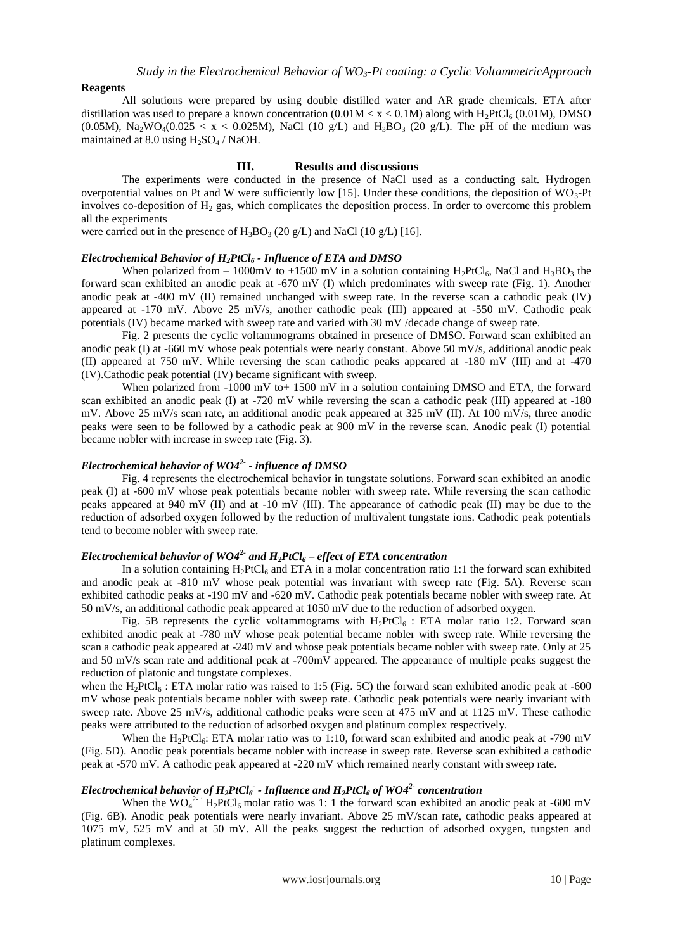### **Reagents**

All solutions were prepared by using double distilled water and AR grade chemicals. ETA after distillation was used to prepare a known concentration  $(0.01M < x < 0.1M)$  along with H<sub>2</sub>PtCl<sub>6</sub> (0.01M), DMSO (0.05M), Na<sub>2</sub>WO<sub>4</sub>(0.025  $\lt x \lt 0.025M$ ), NaCl (10 g/L) and H<sub>3</sub>BO<sub>3</sub> (20 g/L). The pH of the medium was maintained at  $8.0$  using  $H_2SO_4$  / NaOH.

### **III. Results and discussions**

The experiments were conducted in the presence of NaCl used as a conducting salt. Hydrogen overpotential values on Pt and W were sufficiently low [15]. Under these conditions, the deposition of  $WO_3$ -Pt involves co-deposition of  $H_2$  gas, which complicates the deposition process. In order to overcome this problem all the experiments

were carried out in the presence of  $H_3BO_3$  (20 g/L) and NaCl (10 g/L) [16].

### *Electrochemical Behavior of H2PtCl<sup>6</sup> - Influence of ETA and DMSO*

When polarized from – 1000mV to +1500 mV in a solution containing H<sub>2</sub>PtCl<sub>6</sub>, NaCl and H<sub>3</sub>BO<sub>3</sub> the forward scan exhibited an anodic peak at -670 mV (I) which predominates with sweep rate (Fig. 1). Another anodic peak at -400 mV (II) remained unchanged with sweep rate. In the reverse scan a cathodic peak (IV) appeared at -170 mV. Above 25 mV/s, another cathodic peak (III) appeared at -550 mV. Cathodic peak potentials (IV) became marked with sweep rate and varied with 30 mV /decade change of sweep rate.

Fig. 2 presents the cyclic voltammograms obtained in presence of DMSO. Forward scan exhibited an anodic peak (I) at -660 mV whose peak potentials were nearly constant. Above 50 mV/s, additional anodic peak (II) appeared at 750 mV. While reversing the scan cathodic peaks appeared at -180 mV (III) and at -470 (IV).Cathodic peak potential (IV) became significant with sweep.

When polarized from -1000 mV to + 1500 mV in a solution containing DMSO and ETA, the forward scan exhibited an anodic peak (I) at -720 mV while reversing the scan a cathodic peak (III) appeared at -180 mV. Above 25 mV/s scan rate, an additional anodic peak appeared at 325 mV (II). At 100 mV/s, three anodic peaks were seen to be followed by a cathodic peak at 900 mV in the reverse scan. Anodic peak (I) potential became nobler with increase in sweep rate (Fig. 3).

## *Electrochemical behavior of WO42- - influence of DMSO*

Fig. 4 represents the electrochemical behavior in tungstate solutions. Forward scan exhibited an anodic peak (I) at -600 mV whose peak potentials became nobler with sweep rate. While reversing the scan cathodic peaks appeared at 940 mV (II) and at -10 mV (III). The appearance of cathodic peak (II) may be due to the reduction of adsorbed oxygen followed by the reduction of multivalent tungstate ions. Cathodic peak potentials tend to become nobler with sweep rate.

# *Electrochemical behavior of WO42- and H2PtCl<sup>6</sup> – effect of ETA concentration*

In a solution containing  $H_2PtCl_6$  and ETA in a molar concentration ratio 1:1 the forward scan exhibited and anodic peak at -810 mV whose peak potential was invariant with sweep rate (Fig. 5A). Reverse scan exhibited cathodic peaks at -190 mV and -620 mV. Cathodic peak potentials became nobler with sweep rate. At 50 mV/s, an additional cathodic peak appeared at 1050 mV due to the reduction of adsorbed oxygen.

Fig. 5B represents the cyclic voltammograms with  $H_2PtCl_6$ : ETA molar ratio 1:2. Forward scan exhibited anodic peak at -780 mV whose peak potential became nobler with sweep rate. While reversing the scan a cathodic peak appeared at -240 mV and whose peak potentials became nobler with sweep rate. Only at 25 and 50 mV/s scan rate and additional peak at -700mV appeared. The appearance of multiple peaks suggest the reduction of platonic and tungstate complexes.

when the  $H_2PtCl_6$ : ETA molar ratio was raised to 1:5 (Fig. 5C) the forward scan exhibited anodic peak at -600 mV whose peak potentials became nobler with sweep rate. Cathodic peak potentials were nearly invariant with sweep rate. Above 25 mV/s, additional cathodic peaks were seen at 475 mV and at 1125 mV. These cathodic peaks were attributed to the reduction of adsorbed oxygen and platinum complex respectively.

When the H<sub>2</sub>PtCl<sub>6</sub>: ETA molar ratio was to 1:10, forward scan exhibited and anodic peak at -790 mV (Fig. 5D). Anodic peak potentials became nobler with increase in sweep rate. Reverse scan exhibited a cathodic peak at -570 mV. A cathodic peak appeared at -220 mV which remained nearly constant with sweep rate.

# *Electrochemical behavior of H2PtCl<sup>6</sup> - - Influence and H2PtCl<sup>6</sup> of WO42- concentration*

When the  $WO_4^{2-1}$  H<sub>2</sub>PtCl<sub>6</sub> molar ratio was 1: 1 the forward scan exhibited an anodic peak at -600 mV (Fig. 6B). Anodic peak potentials were nearly invariant. Above 25 mV/scan rate, cathodic peaks appeared at 1075 mV, 525 mV and at 50 mV. All the peaks suggest the reduction of adsorbed oxygen, tungsten and platinum complexes.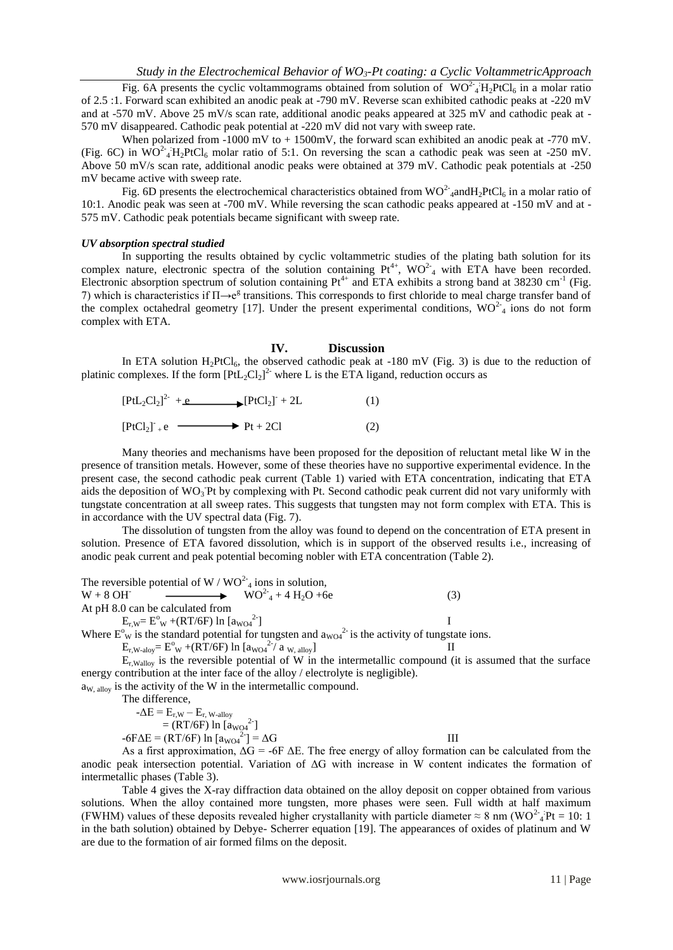Fig. 6A presents the cyclic voltammograms obtained from solution of  $WO^{2-4}H_2PtCl_6$  in a molar ratio of 2.5 :1. Forward scan exhibited an anodic peak at -790 mV. Reverse scan exhibited cathodic peaks at -220 mV and at -570 mV. Above 25 mV/s scan rate, additional anodic peaks appeared at 325 mV and cathodic peak at - 570 mV disappeared. Cathodic peak potential at -220 mV did not vary with sweep rate.

When polarized from -1000 mV to +1500mV, the forward scan exhibited an anodic peak at -770 mV. (Fig. 6C) in  $WO^2$ <sub>4</sub>  $H_2PtCl_6$  molar ratio of 5:1. On reversing the scan a cathodic peak was seen at -250 mV. Above 50 mV/s scan rate, additional anodic peaks were obtained at 379 mV. Cathodic peak potentials at -250 mV became active with sweep rate.

Fig. 6D presents the electrochemical characteristics obtained from  $WO^2$  and  $H_2PtCl_6$  in a molar ratio of 10:1. Anodic peak was seen at -700 mV. While reversing the scan cathodic peaks appeared at -150 mV and at - 575 mV. Cathodic peak potentials became significant with sweep rate.

### *UV absorption spectral studied*

In supporting the results obtained by cyclic voltammetric studies of the plating bath solution for its complex nature, electronic spectra of the solution containing  $Pt^{4+}$ , WO<sup>2-</sup><sub>4</sub> with ETA have been recorded. Electronic absorption spectrum of solution containing  $Pt^{4+}$  and ETA exhibits a strong band at 38230 cm<sup>-1</sup> (Fig. 7) which is characteristics if  $\Pi \rightarrow e^g$  transitions. This corresponds to first chloride to meal charge transfer band of the complex octahedral geometry [17]. Under the present experimental conditions,  $WO^2$  ions do not form complex with ETA.

### **IV. Discussion**

In ETA solution  $H_2PtCl_6$ , the observed cathodic peak at -180 mV (Fig. 3) is due to the reduction of platinic complexes. If the form  $[PtL_2Cl_2]^2$  where L is the ETA ligand, reduction occurs as

| $[PtL_2Cl_2]^2$ + e | $[PtCl2]+2L$           | (1) |
|---------------------|------------------------|-----|
| $[PtCl2]- + e$      | $\rightarrow$ Pt + 2Cl | (2) |

Many theories and mechanisms have been proposed for the deposition of reluctant metal like W in the presence of transition metals. However, some of these theories have no supportive experimental evidence. In the present case, the second cathodic peak current (Table 1) varied with ETA concentration, indicating that ETA aids the deposition of  $WO_3$ Pt by complexing with Pt. Second cathodic peak current did not vary uniformly with tungstate concentration at all sweep rates. This suggests that tungsten may not form complex with ETA. This is in accordance with the UV spectral data (Fig. 7).

The dissolution of tungsten from the alloy was found to depend on the concentration of ETA present in solution. Presence of ETA favored dissolution, which is in support of the observed results i.e., increasing of anodic peak current and peak potential becoming nobler with ETA concentration (Table 2).

The reversible potential of W /  $WO<sup>2-</sup>_{4}$  ions in solution,  $W + 8 \text{ OH}$   $\longrightarrow WO^2_4 + 4 \text{ H}_2\text{O} + 6e$  (3) At pH 8.0 can be calculated from  $E_{r, W} = E^{o}$ <sub>W</sub> +(RT/6F) ln [a<sub>WO4</sub><sup>2-</sup>  $\blacksquare$ 

Where  $E^{\circ}_{\mathbf{w}}$  is the standard potential for tungsten and  $a_{\text{WO4}}^2$  is the activity of tungstate ions.

 $E_{r,W\text{-aloy}} = E_{\text{W}}^{\text{o}} + (RT/6F) \ln \left[ a_{\text{WO4}}^2 / a_{\text{W, alloy}} \right]$  II

 $E_{r, Wallov}$  is the reversible potential of W in the intermetallic compound (it is assumed that the surface energy contribution at the inter face of the alloy / electrolyte is negligible).  $a_{W, \text{ alloy}}$  is the activity of the W in the intermetallic compound.

The difference,

 $-\Delta E = E_{r,W} - E_{r,W}\text{-allov}$ 

 $=$  (RT/6F) ln  $[a_{\text{WO4}}^2]$  $-6F\Delta E = (RT/6F) \ln \left[ a_{WOA}^2 \right] = \Delta G$  III

As a first approximation,  $\Delta G = -6F \Delta E$ . The free energy of alloy formation can be calculated from the anodic peak intersection potential. Variation of ΔG with increase in W content indicates the formation of intermetallic phases (Table 3).

Table 4 gives the X-ray diffraction data obtained on the alloy deposit on copper obtained from various solutions. When the alloy contained more tungsten, more phases were seen. Full width at half maximum (FWHM) values of these deposits revealed higher crystallanity with particle diameter  $\approx 8$  nm (WO<sup>2</sup><sub>4</sub>Pt = 10: 1 in the bath solution) obtained by Debye- Scherrer equation [19]. The appearances of oxides of platinum and W are due to the formation of air formed films on the deposit.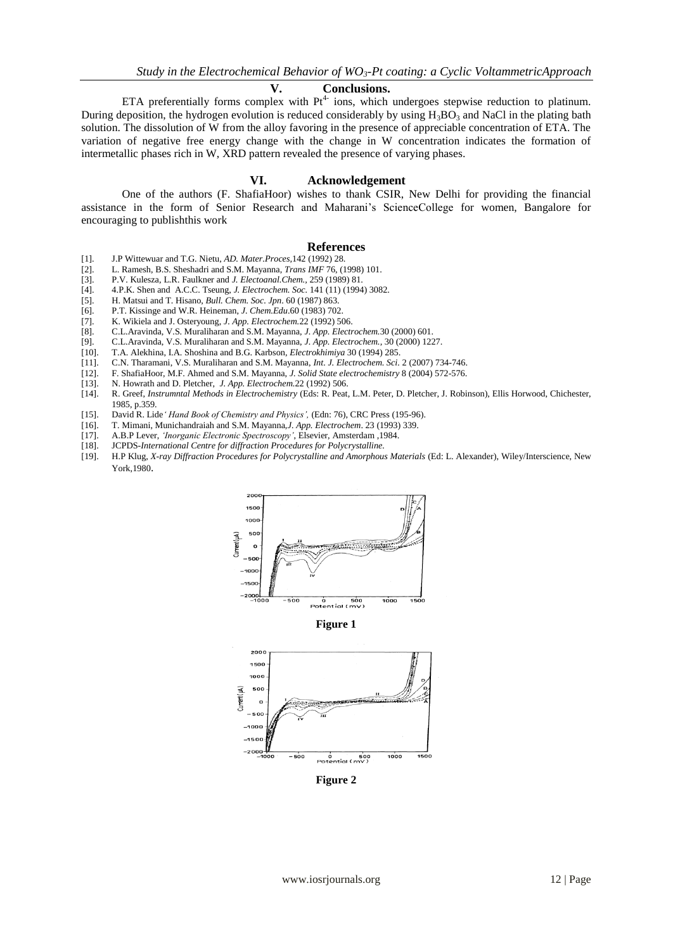### **V. Conclusions.**

ETA preferentially forms complex with  $Pt^{4-}$  ions, which undergoes stepwise reduction to platinum. During deposition, the hydrogen evolution is reduced considerably by using  $H_3BO_3$  and NaCl in the plating bath solution. The dissolution of W from the alloy favoring in the presence of appreciable concentration of ETA. The variation of negative free energy change with the change in W concentration indicates the formation of intermetallic phases rich in W, XRD pattern revealed the presence of varying phases.

### **VI. Acknowledgement**

One of the authors (F. ShafiaHoor) wishes to thank CSIR, New Delhi for providing the financial assistance in the form of Senior Research and Maharani's ScienceCollege for women, Bangalore for encouraging to publishthis work

#### **References**

- [1]. J.P Wittewuar and T.G. Nietu, *AD. Mater.Proces,*142 (1992) 28.
- [2]. L. Ramesh, B.S. Sheshadri and S.M. Mayanna, *Trans IMF* 76, (1998) 101.
- [3]. P.V. Kulesza, L.R. Faulkner and *J. Electoanal.Chem.,* 259 (1989) 81.
- [4]. 4.P.K. Shen and A.C.C. Tseung, *J. Electrochem. Soc.* 141 (11) (1994) 3082.
- [5]. H. Matsui and T. Hisano, *Bull. Chem. Soc. Jpn*. 60 (1987) 863.
- 
- [6]. P.T. Kissinge and W.R. Heineman, *J. Chem.Edu*.60 (1983) 702. [7]. K. Wikiela and J. Osteryoung, *J. App. Electrochem.*22 (1992) 506.
- 
- [8]. C.L.Aravinda, V.S. Muraliharan and S.M. Mayanna, *J. App. Electrochem.*30 (2000) 601. [9]. C.L.Aravinda, V.S. Muraliharan and S.M. Mayanna, *J. App. Electrochem.,* 30 (2000) 1227.
- [10]. T.A. Alekhina, I.A. Shoshina and B.G. Karbson, *Electrokhimiya* 30 (1994) 285.
- [11]. C.N. Tharamani, V.S. Muraliharan and S.M. Mayanna, *Int. J. Electrochem. Sci.* 2 (2007) 734-746.
- [12]. F. ShafiaHoor, M.F. Ahmed and S.M. Mayanna, *J. Solid State electrochemistry* 8 (2004) 572-576.
- [13]. N. Howrath and D. Pletcher, *J. App. Electrochem.*22 (1992) 506.
- [14]. R. Greef, *Instrumntal Methods in Electrochemistry* (Eds: R. Peat, L.M. Peter, D. Pletcher, J. Robinson), Ellis Horwood, Chichester, 1985, p.359.
- [15]. David R. Lide*' Hand Book of Chemistry and Physics',* (Edn: 76), CRC Press (195-96).
- [16]. T. Mimani, Munichandraiah and S.M. Mayanna,*J. App. Electrochem*. 23 (1993) 339.
- [17]. A.B.P Lever, *'Inorganic Electronic Spectroscopy'*, Elsevier, Amsterdam ,1984.
- 
- [18]. JCPDS*-International Centre for diffraction Procedures for Polycrystalline.* [19]. H.P Klug, *X-ray Diffraction Procedures for Polycrystalline and Amorphous Materials* (Ed: L. Alexander), Wiley/Interscience, New York,1980.



**Figure 1**



**Figure 2**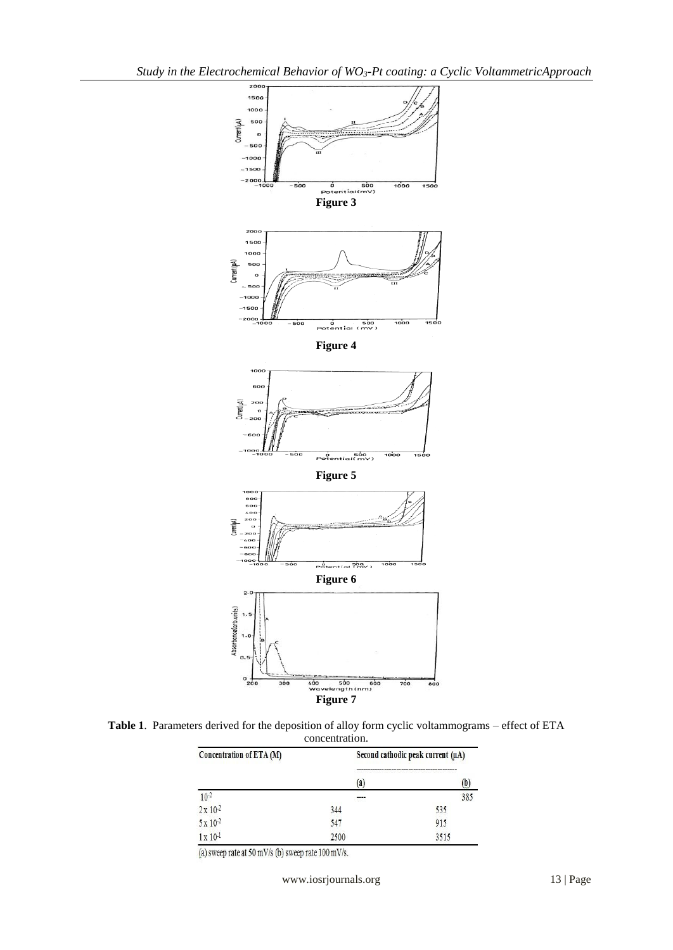

**Table 1**. Parameters derived for the deposition of alloy form cyclic voltammograms – effect of ETA concentration.

| Concentration of ETA (M)               |                   | Second cathodic peak current (µA) |  |  |
|----------------------------------------|-------------------|-----------------------------------|--|--|
|                                        | $\left( a\right)$ | w                                 |  |  |
|                                        | ----              | 385                               |  |  |
| $\frac{10^{-2}}{2 \text{ x } 10^{-2}}$ | 344               | 535                               |  |  |
| 5 x 10-2                               | 547               | 915                               |  |  |
| $1 \times 10^{-1}$                     | 2500              | 3515                              |  |  |

(a) sweep rate at 50 mV/s (b) sweep rate 100 mV/s.

www.iosrjournals.org 13 | Page